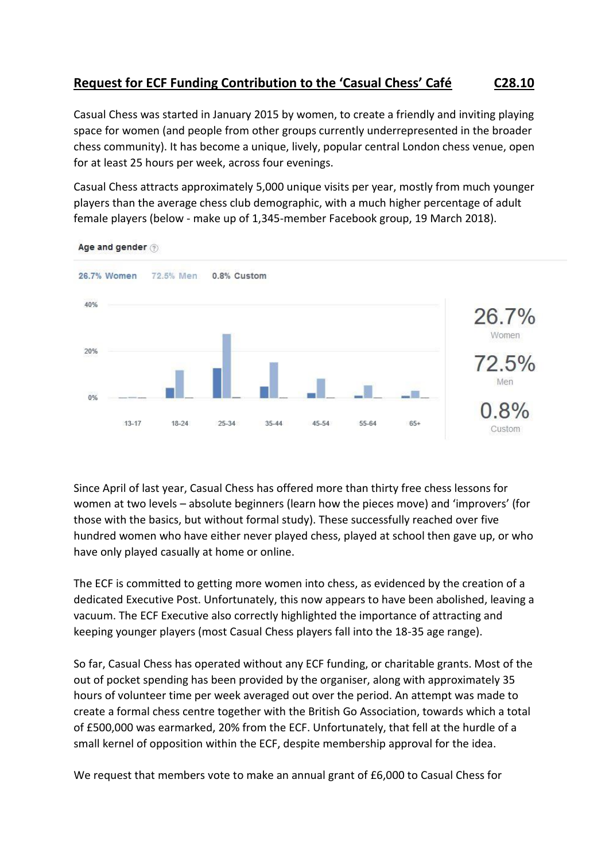## **Request for ECF Funding Contribution to the 'Casual Chess' Café C28.10**

Casual Chess was started in January 2015 by women, to create a friendly and inviting playing space for women (and people from other groups currently underrepresented in the broader chess community). It has become a unique, lively, popular central London chess venue, open for at least 25 hours per week, across four evenings.

Casual Chess attracts approximately 5,000 unique visits per year, mostly from much younger players than the average chess club demographic, with a much higher percentage of adult female players (below - make up of 1,345-member Facebook group, 19 March 2018).



Age and gender (?)

Since April of last year, Casual Chess has offered more than thirty free chess lessons for women at two levels – absolute beginners (learn how the pieces move) and 'improvers' (for those with the basics, but without formal study). These successfully reached over five hundred women who have either never played chess, played at school then gave up, or who have only played casually at home or online.

The ECF is committed to getting more women into chess, as evidenced by the creation of a dedicated Executive Post. Unfortunately, this now appears to have been abolished, leaving a vacuum. The ECF Executive also correctly highlighted the importance of attracting and keeping younger players (most Casual Chess players fall into the 18-35 age range).

So far, Casual Chess has operated without any ECF funding, or charitable grants. Most of the out of pocket spending has been provided by the organiser, along with approximately 35 hours of volunteer time per week averaged out over the period. An attempt was made to create a formal chess centre together with the British Go Association, towards which a total of £500,000 was earmarked, 20% from the ECF. Unfortunately, that fell at the hurdle of a small kernel of opposition within the ECF, despite membership approval for the idea.

We request that members vote to make an annual grant of £6,000 to Casual Chess for